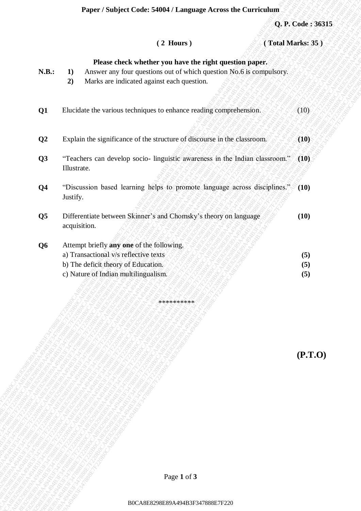|                         |                                                                                       | Paper / Subject Code: 54004 / Language Across the Curriculum                                                                                                                 |      |                   |
|-------------------------|---------------------------------------------------------------------------------------|------------------------------------------------------------------------------------------------------------------------------------------------------------------------------|------|-------------------|
|                         |                                                                                       |                                                                                                                                                                              |      | Q. P. Code: 36315 |
|                         |                                                                                       | $(2$ Hours)                                                                                                                                                                  |      | (Total Marks: 35) |
| <b>N.B.:</b>            | 1)<br>2)                                                                              | Please check whether you have the right question paper.<br>Answer any four questions out of which question No.6 is compulsory.<br>Marks are indicated against each question. |      |                   |
| Q1                      |                                                                                       | Elucidate the various techniques to enhance reading comprehension.                                                                                                           |      | (10)              |
| Q <sub>2</sub>          |                                                                                       | Explain the significance of the structure of discourse in the classroom.                                                                                                     |      | (10)              |
| Q3                      | Illustrate.                                                                           | "Teachers can develop socio- linguistic awareness in the Indian classroom." (10)                                                                                             |      |                   |
| Q <sub>4</sub>          | "Discussion based learning helps to promote language across disciplines."<br>Justify. |                                                                                                                                                                              | (10) |                   |
| $\overline{\mathbf{Q}}$ | acquisition.                                                                          | Differentiate between Skinner's and Chomsky's theory on language                                                                                                             |      | (10)              |
| Q <sub>6</sub>          |                                                                                       | Attempt briefly any one of the following.                                                                                                                                    |      |                   |
|                         | a) Transactional v/s reflective texts                                                 |                                                                                                                                                                              |      | (5)               |
|                         | b) The deficit theory of Education.<br>c) Nature of Indian multilingualism.           |                                                                                                                                                                              |      | (5)<br>(5)        |
|                         |                                                                                       |                                                                                                                                                                              |      |                   |
|                         |                                                                                       | **********                                                                                                                                                                   |      |                   |
|                         |                                                                                       |                                                                                                                                                                              |      |                   |
|                         |                                                                                       |                                                                                                                                                                              |      | (P.T.O)           |
|                         |                                                                                       |                                                                                                                                                                              |      |                   |
|                         |                                                                                       |                                                                                                                                                                              |      |                   |
|                         |                                                                                       |                                                                                                                                                                              |      |                   |
|                         |                                                                                       |                                                                                                                                                                              |      |                   |
|                         |                                                                                       |                                                                                                                                                                              |      |                   |
|                         |                                                                                       |                                                                                                                                                                              |      |                   |
|                         |                                                                                       | Page 1 of 3                                                                                                                                                                  |      |                   |
|                         |                                                                                       | B0CA8E8298E89A494B3F347888E7F220                                                                                                                                             |      |                   |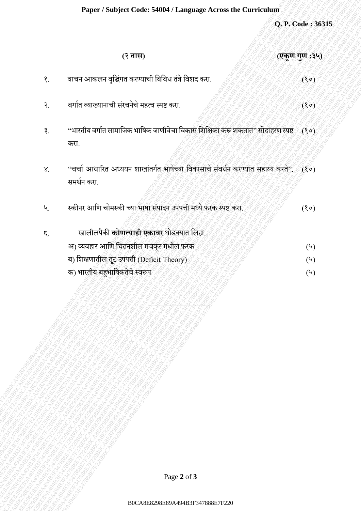## **Paper / Subject Code: 54004 / Language Across the Curriculum**

|                 | Paper / Subject Code: 54004 / Language Across the Curriculum                                                                                                             |                                                            |
|-----------------|--------------------------------------------------------------------------------------------------------------------------------------------------------------------------|------------------------------------------------------------|
|                 |                                                                                                                                                                          | Q. P. Code: 36315                                          |
|                 | (२ तास)<br>(एकूण गुण :३५)                                                                                                                                                |                                                            |
| $\delta$ .      | वाचन आकलन वृद्धिंगत करण्याची विविध तंत्रे विशद करा.                                                                                                                      | (30)                                                       |
| $\mathcal{S}$ . | वर्गात व्याख्यानाची संरचनेचे महत्व स्पष्ट करा.                                                                                                                           | (30)                                                       |
| ३.              | "भारतीय वर्गात सामाजिक भाषिक जाणीवेचा विकास शिक्षिका करू शकतात" सोदाहरण स्पष्ट $\text{C}(3\,\text{o})$<br>करा.                                                           |                                                            |
| $\lambda^\cdot$ | "चर्चा आधारित अध्ययन शाखांतर्गत भाषेच्या विकासाचे संवर्धन करण्यात सहाय्य करते". (१०)<br>समर्थन करा.                                                                      |                                                            |
| ५.              | स्कीनर आणि चोमस्की च्या भाषा संपादन उपपत्ती मध्ये फरक स्पष्ट करा.                                                                                                        | (80)                                                       |
| $\epsilon$ .    | खालीलपैकी <b>कोणत्याही एकावर</b> थोडक्यात लिहा.<br>अ) व्यवहार आणि चिंतनशील मजकूर मधील फरक<br>ब) शिक्षणातील तूट उपपत्ती (Deficit Theory)<br>क) भारतीय बहुभाषिकतेचे स्वरूप | $(\lambda)$<br>$(\mathord{\mathsf{Y}})$<br>$(\mathcal{V})$ |
|                 | Page 2 of 3                                                                                                                                                              |                                                            |
|                 | B0CA8E8298E89A494B3F347888E7F220                                                                                                                                         |                                                            |